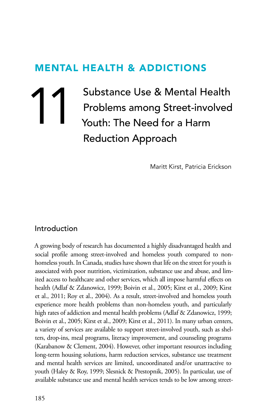# MENTAL HEALTH & AddICTIONS

Substance Use & Mental Health<br>Problems among Street-involved<br>Youth: The Need for a Harm Problems among Street-involved Youth: The Need for a Harm Reduction Approach

Maritt Kirst, Patricia Erickson

#### Introduction

A growing body of research has documented a highly disadvantaged health and social profile among street-involved and homeless youth compared to nonhomeless youth. In Canada, studies have shown that life on the street for youth is associated with poor nutrition, victimization, substance use and abuse, and limited access to healthcare and other services, which all impose harmful effects on health (Adlaf & Zdanowicz, 1999; Boivin et al., 2005; Kirst et al., 2009; Kirst et al., 2011; Roy et al., 2004). As a result, street-involved and homeless youth experience more health problems than non-homeless youth, and particularly high rates of addiction and mental health problems (Adlaf & Zdanowicz, 1999; Boivin et al., 2005; Kirst et al., 2009; Kirst et al., 2011). In many urban centers, a variety of services are available to support street-involved youth, such as shelters, drop-ins, meal programs, literacy improvement, and counseling programs (Karabanow & Clement, 2004). However, other important resources including long-term housing solutions, harm reduction services, substance use treatment and mental health services are limited, uncoordinated and/or unattractive to youth (Haley & Roy, 1999; Slesnick & Prestopnik, 2005). In particular, use of available substance use and mental health services tends to be low among street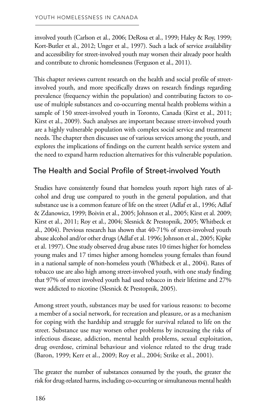involved youth (Carlson et al., 2006; DeRosa et al., 1999; Haley & Roy, 1999; Kort-Butler et al., 2012; Unger et al., 1997). Such a lack of service availability and accessibility for street-involved youth may worsen their already poor health and contribute to chronic homelessness (Ferguson et al., 2011).

This chapter reviews current research on the health and social profile of streetinvolved youth, and more specifically draws on research findings regarding prevalence (frequency within the population) and contributing factors to couse of multiple substances and co-occurring mental health problems within a sample of 150 street-involved youth in Toronto, Canada (Kirst et al., 2011; Kirst et al., 2009). Such analyses are important because street-involved youth are a highly vulnerable population with complex social service and treatment needs. The chapter then discusses use of various services among the youth, and explores the implications of findings on the current health service system and the need to expand harm reduction alternatives for this vulnerable population.

# The Health and Social Profile of Street-involved Youth

Studies have consistently found that homeless youth report high rates of alcohol and drug use compared to youth in the general population, and that substance use is a common feature of life on the street (Adlaf et al., 1996; Adlaf & Zdanowicz, 1999; Boivin et al., 2005; Johnson et al., 2005; Kirst et al. 2009; Kirst et al., 2011; Roy et al., 2004; Slesnick & Prestopnik, 2005; Whitbeck et al., 2004). Previous research has shown that 40-71% of street-involved youth abuse alcohol and/or other drugs (Adlaf et al. 1996; Johnson et al., 2005; Kipke et al. 1997). One study observed drug abuse rates 10 times higher for homeless young males and 17 times higher among homeless young females than found in a national sample of non-homeless youth (Whitbeck et al., 2004). Rates of tobacco use are also high among street-involved youth, with one study finding that 97% of street involved youth had used tobacco in their lifetime and 27% were addicted to nicotine (Slesnick & Prestopnik, 2005).

Among street youth, substances may be used for various reasons: to become a member of a social network, for recreation and pleasure, or as a mechanism for coping with the hardship and struggle for survival related to life on the street. Substance use may worsen other problems by increasing the risks of infectious disease, addiction, mental health problems, sexual exploitation, drug overdose, criminal behaviour and violence related to the drug trade (Baron, 1999; Kerr et al., 2009; Roy et al., 2004; Strike et al., 2001).

The greater the number of substances consumed by the youth, the greater the risk for drug-related harms, including co-occurring or simultaneous mental health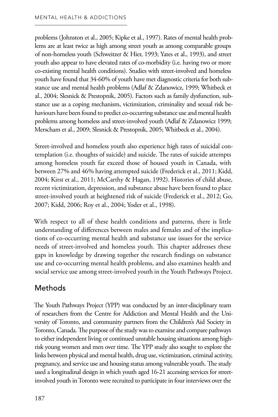problems (Johnston et al., 2005; Kipke et al., 1997). Rates of mental health problems are at least twice as high among street youth as among comparable groups of non-homeless youth (Schweitzer & Hier, 1993; Yates et al., 1993), and street youth also appear to have elevated rates of co-morbidity (i.e. having two or more co-existing mental health conditions). Studies with street-involved and homeless youth have found that 34-60% of youth have met diagnostic criteria for both substance use and mental health problems (Adlaf & Zdanowicz, 1999; Whitbeck et al., 2004; Slesnick & Prestopnik, 2005). Factors such as family dysfunction, substance use as a coping mechanism, victimization, criminality and sexual risk behaviours have been found to predict co-occurring substance use and mental health problems among homeless and street-involved youth (Adlaf & Zdanowicz 1999; Merscham et al., 2009; Slesnick & Prestopnik, 2005; Whitbeck et al., 2004).

Street-involved and homeless youth also experience high rates of suicidal contemplation (i.e. thoughts of suicide) and suicide. The rates of suicide attempts among homeless youth far exceed those of housed youth in Canada, with between 27% and 46% having attempted suicide (Frederick et al., 2011; Kidd, 2004; Kirst et al., 2011; McCarthy & Hagan, 1992). Histories of child abuse, recent victimization, depression, and substance abuse have been found to place street-involved youth at heightened risk of suicide (Frederick et al., 2012; Go, 2007; Kidd, 2006; Roy et al., 2004; Yoder et al., 1998).

With respect to all of these health conditions and patterns, there is little understanding of differences between males and females and of the implications of co-occurring mental health and substance use issues for the service needs of street-involved and homeless youth. This chapter addresses these gaps in knowledge by drawing together the research findings on substance use and co-occurring mental health problems, and also examines health and social service use among street-involved youth in the Youth Pathways Project.

# Methods

The Youth Pathways Project (YPP) was conducted by an inter-disciplinary team of researchers from the Centre for Addiction and Mental Health and the University of Toronto, and community partners from the Children's Aid Society in Toronto, Canada. The purpose of the study was to examine and compare pathways to either independent living or continued unstable housing situations among highrisk young women and men over time. The YPP study also sought to explore the links between physical and mental health, drug use, victimization, criminal activity, pregnancy, and service use and housing status among vulnerable youth. The study used a longitudinal design in which youth aged 16-21 accessing services for streetinvolved youth in Toronto were recruited to participate in four interviews over the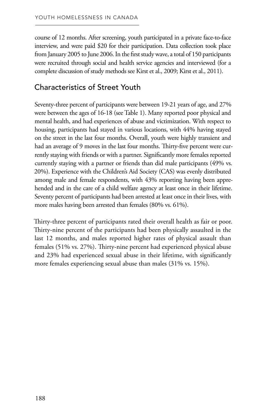course of 12 months. After screening, youth participated in a private face-to-face interview, and were paid \$20 for their participation. Data collection took place from January 2005 to June 2006. In the first study wave, a total of 150 participants were recruited through social and health service agencies and interviewed (for a complete discussion of study methods see Kirst et al., 2009; Kirst et al., 2011).

# Characteristics of Street Youth

Seventy-three percent of participants were between 19-21 years of age, and 27% were between the ages of 16-18 (see Table 1). Many reported poor physical and mental health, and had experiences of abuse and victimization. With respect to housing, participants had stayed in various locations, with 44% having stayed on the street in the last four months. Overall, youth were highly transient and had an average of 9 moves in the last four months. Thirty-five percent were currently staying with friends or with a partner. Significantly more females reported currently staying with a partner or friends than did male participants (49% vs. 20%). Experience with the Children's Aid Society (CAS) was evenly distributed among male and female respondents, with 43% reporting having been apprehended and in the care of a child welfare agency at least once in their lifetime. Seventy percent of participants had been arrested at least once in their lives, with more males having been arrested than females (80% vs. 61%).

Thirty-three percent of participants rated their overall health as fair or poor. Thirty-nine percent of the participants had been physically assaulted in the last 12 months, and males reported higher rates of physical assault than females (51% vs. 27%). Thirty-nine percent had experienced physical abuse and 23% had experienced sexual abuse in their lifetime, with significantly more females experiencing sexual abuse than males (31% vs. 15%).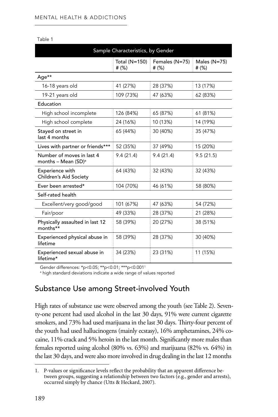|                                                     | Sample Characteristics, by Gender |                            |                            |
|-----------------------------------------------------|-----------------------------------|----------------------------|----------------------------|
|                                                     | Total (N=150)<br># $(\%)$         | Females (N=75)<br># $(\%)$ | Males $(N=75)$<br># $(\%)$ |
| Age**                                               |                                   |                            |                            |
| 16-18 years old                                     | 41 (27%)                          | 28 (37%)                   | 13 (17%)                   |
| 19-21 years old                                     | 109 (73%)                         | 47 (63%)                   | 62 (83%)                   |
| Education                                           |                                   |                            |                            |
| High school incomplete                              | 126 (84%)                         | 65 (87%)                   | 61 (81%)                   |
| High school complete                                | 24 (16%)                          | 10 (13%)                   | 14 (19%)                   |
| Stayed on street in<br>last 4 months                | 65 (44%)                          | 30 (40%)                   | 35 (47%)                   |
| Lives with partner or friends***                    | 52 (35%)                          | 37 (49%)                   | 15 (20%)                   |
| Number of moves in last 4<br>months - Mean $(SD)^a$ | 9.4(21.4)                         | 9.4(21.4)                  | 9.5(21.5)                  |
| Experience with<br>Children's Aid Society           | 64 (43%)                          | 32 (43%)                   | 32 (43%)                   |
| Ever been arrested*                                 | 104 (70%)                         | 46 (61%)                   | 58 (80%)                   |
| Self-rated health                                   |                                   |                            |                            |
| Excellent/very good/good                            | 101 (67%)                         | 47 (63%)                   | 54 (72%)                   |
| Fair/poor                                           | 49 (33%)                          | 28 (37%)                   | 21 (28%)                   |
| Physically assaulted in last 12<br>months**         | 58 (39%)                          | 20 (27%)                   | 38 (51%)                   |
| Experienced physical abuse in<br>lifetime           | 58 (39%)                          | 28 (37%)                   | 30 (40%)                   |
| Experienced sexual abuse in<br>lifetime*            | 34 (23%)                          | 23 (31%)                   | 11 (15%)                   |

Table 1

Gender differences: \*p<0.05; \*\*p<0.01; \*\*\*p<0.0011

<sup>a</sup> high standard deviations indicate a wide range of values reported

# Substance Use among Street-involved Youth

High rates of substance use were observed among the youth (see Table 2). Seventy-one percent had used alcohol in the last 30 days, 91% were current cigarette smokers, and 73% had used marijuana in the last 30 days. Thirty-four percent of the youth had used hallucinogens (mainly ecstasy), 16% amphetamines, 24% cocaine, 11% crack and 5% heroin in the last month. Significantly more males than females reported using alcohol (80% vs. 63%) and marijuana (82% vs. 64%) in the last 30 days, and were also more involved in drug dealing in the last 12 months

<sup>1.</sup> P-values or significance levels reflect the probability that an apparent difference between groups, suggesting a relationship between two factors (e.g., gender and arrests), occurred simply by chance (Utts & Heckard, 2007).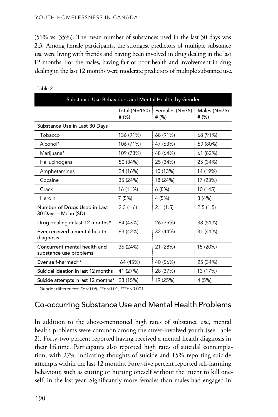(51% vs. 35%). The mean number of substances used in the last 30 days was 2.3. Among female participants, the strongest predictors of multiple substance use were living with friends and having been involved in drug dealing in the last 12 months. For the males, having fair or poor health and involvement in drug dealing in the last 12 months were moderate predictors of multiple substance use.

| Substance Use Behaviours and Mental Health, by Gender  |                        |                           |                           |
|--------------------------------------------------------|------------------------|---------------------------|---------------------------|
|                                                        | Total (N=150)<br># (%) | Females (N=75)<br># $(%)$ | Males $(N=75)$<br># $(%)$ |
| Substance Use in Last 30 Days                          |                        |                           |                           |
| Tobacco                                                | 136 (91%)              | 68 (91%)                  | 68 (91%)                  |
| Alcohol*                                               | 106 (71%)              | 47 (63%)                  | 59 (80%)                  |
| Marijuana*                                             | 109 (73%)              | 48 (64%)                  | 61 (82%)                  |
| Hallucinogens                                          | 50 (34%)               | 25 (34%)                  | 25 (34%)                  |
| Amphetamines                                           | 24 (16%)               | 10 (13%)                  | 14 (19%)                  |
| Cocaine                                                | 35 (24%)               | 18 (24%)                  | 17 (23%)                  |
| Crack                                                  | 16 (11%)               | 6(8%)                     | 10 (145)                  |
| Heroin                                                 | 7(5%)                  | 4 (5%)                    | 3(4%)                     |
| Number of Drugs Used in Last<br>30 Days - Mean (SD)    | 2.3(1.6)               | 2.1(1.5)                  | 2.5(1.5)                  |
| Drug dealing in last 12 months*                        | 64 (43%)               | 26 (35%)                  | 38 (51%)                  |
| Ever received a mental health<br>diagnosis             | 63 (42%)               | 32 (44%)                  | 31 (41%)                  |
| Concurrent mental health and<br>substance use problems | 36 (24%)               | 21 (28%)                  | 15 (20%)                  |
| Ever self-harmed**                                     | 64 (45%)               | 40 (56%)                  | 25 (34%)                  |
| Suicidal ideation in last 12 months                    | 41 (27%)               | 28 (37%)                  | 13 (17%)                  |
| Suicide attempts in last 12 months*                    | 23 (15%)               | 19 (25%)                  | 4 (5%)                    |

Table 2

Gender differences: \*p<0.05; \*\*p<0.01; \*\*\*p<0.001

#### Co-occurring Substance Use and Mental Health Problems

In addition to the above-mentioned high rates of substance use, mental health problems were common among the street-involved youth (see Table 2). Forty-two percent reported having received a mental health diagnosis in their lifetime. Participants also reported high rates of suicidal contemplation, with 27% indicating thoughts of suicide and 15% reporting suicide attempts within the last 12 months. Forty-five percent reported self-harming behaviour, such as cutting or hurting oneself without the intent to kill oneself, in the last year. Significantly more females than males had engaged in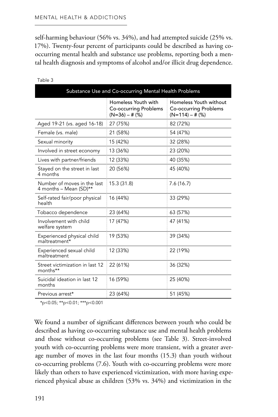self-harming behaviour (56% vs. 34%), and had attempted suicide (25% vs. 17%). Twenty-four percent of participants could be described as having cooccurring mental health and substance use problems, reporting both a mental health diagnosis and symptoms of alcohol and/or illicit drug dependence.

|                                                       | Substance Use and Co-occurring Mental Health Problems                   |                                                                             |
|-------------------------------------------------------|-------------------------------------------------------------------------|-----------------------------------------------------------------------------|
|                                                       | Homeless Youth with<br><b>Co-occurring Problems</b><br>$(N=36) - # (%)$ | Homeless Youth without<br><b>Co-occurring Problems</b><br>$(N=114) - # (%)$ |
| Aged 19-21 (vs. aged 16-18)                           | 27 (75%)                                                                | 82 (72%)                                                                    |
| Female (vs. male)                                     | 21 (58%)                                                                | 54 (47%)                                                                    |
| Sexual minority                                       | 15 (42%)                                                                | 32 (28%)                                                                    |
| Involved in street economy                            | 13 (36%)                                                                | 23 (20%)                                                                    |
| Lives with partner/friends                            | 12 (33%)                                                                | 40 (35%)                                                                    |
| Stayed on the street in last<br>4 months              | 20 (56%)                                                                | 45 (40%)                                                                    |
| Number of moves in the last<br>4 months - Mean (SD)** | 15.3 (31.8)                                                             | 7.6(16.7)                                                                   |
| Self-rated fair/poor physical<br>health               | 16 (44%)                                                                | 33 (29%)                                                                    |
| Tobacco dependence                                    | 23 (64%)                                                                | 63 (57%)                                                                    |
| Involvement with child<br>welfare system              | 17 (47%)                                                                | 47 (41%)                                                                    |
| Experienced physical child<br>maltreatment*           | 19 (53%)                                                                | 39 (34%)                                                                    |
| Experienced sexual child<br>maltreatment              | 12 (33%)                                                                | 22 (19%)                                                                    |
| Street victimization in last 12<br>months**           | 22 (61%)                                                                | 36 (32%)                                                                    |
| Suicidal ideation in last 12<br>months                | 16 (59%)                                                                | 25 (40%)                                                                    |
| Previous arrest*                                      | 23 (64%)                                                                | 51 (45%)                                                                    |

Table 3

\*p<0.05; \*\*p<0.01; \*\*\*p<0.001

We found a number of significant differences between youth who could be described as having co-occurring substance use and mental health problems and those without co-occurring problems (see Table 3). Street-involved youth with co-occurring problems were more transient, with a greater average number of moves in the last four months (15.3) than youth without co-occurring problems (7.6). Youth with co-occurring problems were more likely than others to have experienced victimization, with more having experienced physical abuse as children (53% vs. 34%) and victimization in the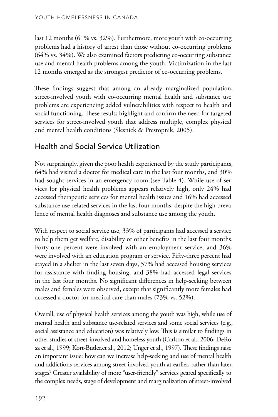last 12 months (61% vs. 32%). Furthermore, more youth with co-occurring problems had a history of arrest than those without co-occurring problems (64% vs. 34%). We also examined factors predicting co-occurring substance use and mental health problems among the youth. Victimization in the last 12 months emerged as the strongest predictor of co-occurring problems.

These findings suggest that among an already marginalized population, street-involved youth with co-occurring mental health and substance use problems are experiencing added vulnerabilities with respect to health and social functioning. These results highlight and confirm the need for targeted services for street-involved youth that address multiple, complex physical and mental health conditions (Slesnick & Prestopnik, 2005).

# Health and Social Service Utilization

Not surprisingly, given the poor health experienced by the study participants, 64% had visited a doctor for medical care in the last four months, and 30% had sought services in an emergency room (see Table 4). While use of services for physical health problems appears relatively high, only 24% had accessed therapeutic services for mental health issues and 16% had accessed substance use-related services in the last four months, despite the high prevalence of mental health diagnoses and substance use among the youth.

With respect to social service use, 33% of participants had accessed a service to help them get welfare, disability or other benefits in the last four months. Forty-one percent were involved with an employment service, and 36% were involved with an education program or service. Fifty-three percent had stayed in a shelter in the last seven days, 57% had accessed housing services for assistance with finding housing, and 38% had accessed legal services in the last four months. No significant differences in help-seeking between males and females were observed, except that significantly more females had accessed a doctor for medical care than males (73% vs. 52%).

Overall, use of physical health services among the youth was high, while use of mental health and substance use-related services and some social services (e.g., social assistance and education) was relatively low. This is similar to findings in other studies of street-involved and homeless youth (Carlson et al., 2006; DeRosa et al., 1999; Kort-Butler,et al., 2012; Unger et al., 1997). These findings raise an important issue: how can we increase help-seeking and use of mental health and addictions services among street involved youth at earlier, rather than later, stages? Greater availability of more "user-friendly" services geared specifically to the complex needs, stage of development and marginalization of street-involved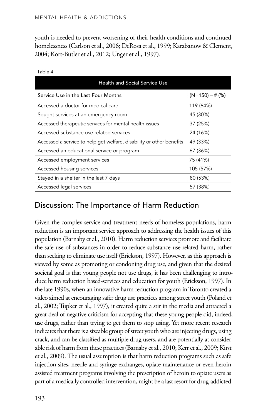youth is needed to prevent worsening of their health conditions and continued homelessness (Carlson et al., 2006; DeRosa et al., 1999; Karabanow & Clement, 2004; Kort-Butler et al., 2012; Unger et al., 1997).

| <b>Health and Social Service Use</b>                                 |                   |
|----------------------------------------------------------------------|-------------------|
| Service Use in the Last Four Months                                  | $(N=150) - # (%)$ |
| Accessed a doctor for medical care                                   | 119 (64%)         |
| Sought services at an emergency room                                 | 45 (30%)          |
| Accessed therapeutic services for mental health issues               | 37 (25%)          |
| Accessed substance use related services                              | 24 (16%)          |
| Accessed a service to help get welfare, disability or other benefits | 49 (33%)          |
| Accessed an educational service or program                           | 67 (36%)          |
| Accessed employment services                                         | 75 (41%)          |
| Accessed housing services                                            | 105 (57%)         |
| Stayed in a shelter in the last 7 days                               | 80 (53%)          |
| Accessed legal services                                              | 57 (38%)          |

| ×<br>۰,<br>٠ |
|--------------|
|--------------|

### Discussion: The Importance of Harm Reduction

Given the complex service and treatment needs of homeless populations, harm reduction is an important service approach to addressing the health issues of this population (Barnaby et al., 2010). Harm reduction services promote and facilitate the safe use of substances in order to reduce substance use-related harm, rather than seeking to eliminate use itself (Erickson, 1997). However, as this approach is viewed by some as promoting or condoning drug use, and given that the desired societal goal is that young people not use drugs, it has been challenging to introduce harm reduction based-services and education for youth (Erickson, 1997). In the late 1990s, when an innovative harm reduction program in Toronto created a video aimed at encouraging safer drug use practices among street youth (Poland et al., 2002; Tupker et al., 1997), it created quite a stir in the media and attracted a great deal of negative criticism for accepting that these young people did, indeed, use drugs, rather than trying to get them to stop using. Yet more recent research indicates that there is a sizeable group of street youth who are injecting drugs, using crack, and can be classified as multiple drug users, and are potentially at considerable risk of harm from these practices (Barnaby et al., 2010; Kerr et al., 2009; Kirst et al., 2009). The usual assumption is that harm reduction programs such as safe injection sites, needle and syringe exchanges, opiate maintenance or even heroin assisted treatment programs involving the prescription of heroin to opiate users as part of a medically controlled intervention, might be a last resort for drug-addicted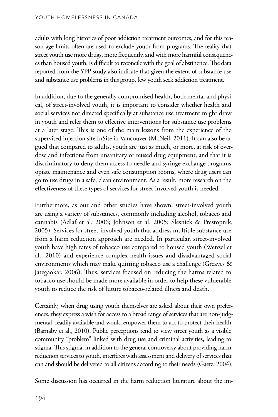adults with long histories of poor addiction treatment outcomes, and for this reason age limits often are used to exclude youth from programs. The reality that street youth use more drugs, more frequently, and with more harmful consequences than housed youth, is difficult to reconcile with the goal of abstinence. The data reported from the YPP study also indicate that given the extent of substance use and substance use problems in this group, few youth seek addiction treatment.

In addition, due to the generally compromised health, both mental and physical, of street-involved youth, it is important to consider whether health and social services not directed specifically at substance use treatment might draw in youth and refer them to effective interventions for substance use problems at a later stage. This is one of the main lessons from the experience of the supervised injection site InSite in Vancouver (McNeil, 2011). It can also be argued that compared to adults, youth are just as much, or more, at risk of overdose and infections from unsanitary or reused drug equipment, and that it is discriminatory to deny them access to needle and syringe exchange programs, opiate maintenance and even safe consumption rooms, where drug users can go to use drugs in a safe, clean environment. As a result, more research on the effectiveness of these types of services for street-involved youth is needed.

Furthermore, as our and other studies have shown, street-involved youth are using a variety of substances, commonly including alcohol, tobacco and cannabis (Adlaf et al. 2006; Johnson et al. 2005; Slesnick & Prestopnik, 2005). Services for street-involved youth that address multiple substance use from a harm reduction approach are needed. In particular, street-involved youth have high rates of tobacco use compared to housed youth (Wenzel et al., 2010) and experience complex health issues and disadvantaged social environments which may make quitting tobacco use a challenge (Greaves & Jategaokar, 2006). Thus, services focused on reducing the harms related to tobacco use should be made more available in order to help these vulnerable youth to reduce the risk of future tobacco-related illness and death.

Certainly, when drug using youth themselves are asked about their own preferences, they express a wish for access to a broad range of services that are non-judgmental, readily available and would empower them to act to protect their health (Barnaby et al., 2010). Public perceptions tend to view street youth as a visible community "problem" linked with drug use and criminal activities, leading to stigma. This stigma, in addition to the general controversy about providing harm reduction services to youth, interferes with assessment and delivery of services that can and should be delivered to all citizens according to their needs (Gaetz, 2004).

Some discussion has occurred in the harm reduction literature about the im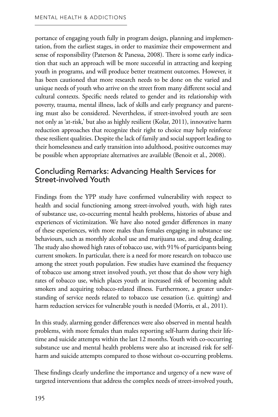portance of engaging youth fully in program design, planning and implementation, from the earliest stages, in order to maximize their empowerment and sense of responsibility (Paterson & Panessa, 2008). There is some early indication that such an approach will be more successful in attracting and keeping youth in programs, and will produce better treatment outcomes. However, it has been cautioned that more research needs to be done on the varied and unique needs of youth who arrive on the street from many different social and cultural contexts. Specific needs related to gender and its relationship with poverty, trauma, mental illness, lack of skills and early pregnancy and parenting must also be considered. Nevertheless, if street-involved youth are seen not only as 'at-risk,' but also as highly resilient (Kolar, 2011), innovative harm reduction approaches that recognize their right to choice may help reinforce these resilient qualities. Despite the lack of family and social support leading to their homelessness and early transition into adulthood, positive outcomes may be possible when appropriate alternatives are available (Benoit et al., 2008).

### Concluding Remarks: Advancing Health Services for Street-involved Youth

Findings from the YPP study have confirmed vulnerability with respect to health and social functioning among street-involved youth, with high rates of substance use, co-occurring mental health problems, histories of abuse and experiences of victimization. We have also noted gender differences in many of these experiences, with more males than females engaging in substance use behaviours, such as monthly alcohol use and marijuana use, and drug dealing. The study also showed high rates of tobacco use, with 91% of participants being current smokers. In particular, there is a need for more research on tobacco use among the street youth population. Few studies have examined the frequency of tobacco use among street involved youth, yet those that do show very high rates of tobacco use, which places youth at increased risk of becoming adult smokers and acquiring tobacco-related illness. Furthermore, a greater understanding of service needs related to tobacco use cessation (i.e. quitting) and harm reduction services for vulnerable youth is needed (Morris, et al., 2011).

In this study, alarming gender differences were also observed in mental health problems, with more females than males reporting self-harm during their lifetime and suicide attempts within the last 12 months. Youth with co-occurring substance use and mental health problems were also at increased risk for selfharm and suicide attempts compared to those without co-occurring problems.

These findings clearly underline the importance and urgency of a new wave of targeted interventions that address the complex needs of street-involved youth,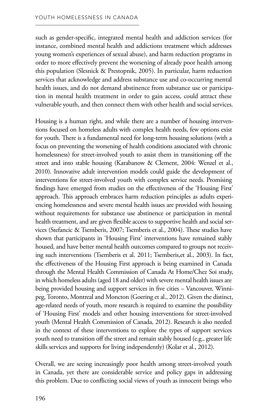such as gender-specific, integrated mental health and addiction services (for instance, combined mental health and addictions treatment which addresses young women's experiences of sexual abuse), and harm reduction programs in order to more effectively prevent the worsening of already poor health among this population (Slesnick & Prestopnik, 2005). In particular, harm reduction services that acknowledge and address substance use and co-occurring mental health issues, and do not demand abstinence from substance use or participation in mental health treatment in order to gain access, could attract these vulnerable youth, and then connect them with other health and social services.

Housing is a human right, and while there are a number of housing interventions focused on homeless adults with complex health needs, few options exist for youth. There is a fundamental need for long-term housing solutions (with a focus on preventing the worsening of health conditions associated with chronic homelessness) for street-involved youth to assist them in transitioning off the street and into stable housing (Karabanow & Clement, 2004: Wenzel et al., 2010). Innovative adult intervention models could guide the development of interventions for street-involved youth with complex service needs. Promising findings have emerged from studies on the effectiveness of the 'Housing First' approach. This approach embraces harm reduction principles as adults experiencing homelessness and severe mental health issues are provided with housing without requirements for substance use abstinence or participation in mental health treatment, and are given flexible access to supportive health and social services (Stefancic & Tsemberis, 2007; Tsemberis et al., 2004). These studies have shown that participants in 'Housing First' interventions have remained stably housed, and have better mental health outcomes compared to groups not receiving such interventions (Tsemberis et al. 2011; Tsemberis,et al., 2003). In fact, the effectiveness of the Housing First approach is being examined in Canada through the Mental Health Commission of Canada At Home/Chez Soi study, in which homeless adults (aged 18 and older) with severe mental health issues are being provided housing and support services in five cities – Vancouver, Winnipeg, Toronto, Montreal and Moncton (Goering et al., 2012). Given the distinct, age-related needs of youth, more research is required to examine the possibility of 'Housing First' models and other housing interventions for street-involved youth (Mental Health Commission of Canada, 2012). Research is also needed in the context of these interventions to explore the types of support services youth need to transition off the street and remain stably housed (e.g., greater life skills services and supports for living independently) (Kolar et al., 2012).

Overall, we are seeing increasingly poor health among street-involved youth in Canada, yet there are considerable service and policy gaps in addressing this problem. Due to conflicting social views of youth as innocent beings who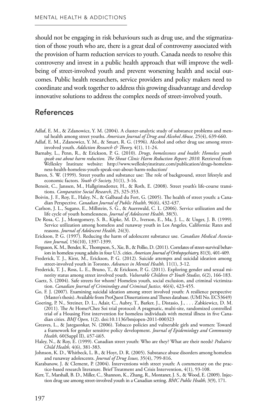should not be engaging in risk behaviours such as drug use, and the stigmatization of those youth who are, there is a great deal of controversy associated with the provision of harm reduction services to youth. Canada needs to resolve this controversy and invest in a public health approach that will improve the wellbeing of street-involved youth and prevent worsening health and social outcomes. Public health researchers, service providers and policy makers need to coordinate and work together to address this growing disadvantage and develop innovative solutions to address the complex needs of street-involved youth.

#### References

- Adlaf, E. M., & Zdanowicz, Y. M. (2004). A cluster-analytic study of substance problems and mental health among street youths. *American Journal of Drug and Alcohol Abuse,* 25(4), 639-660.
- Adlaf, E. M., Zdanowicz, Y. M., & Smart, R. G. (1996). Alcohol and other drug use among streetinvolved youth. *Addiction Research & Theory,* 4(1), 11-24.
- Barnaby, L., Penn, R., & Erickson, P. G. (2010). *Drugs, homelessness and health: Homeless youth*  speak out about harm reduction. The Shout Clinic Harm Reduction Report: 2010. Retrieved from Wellesley Institute website: http://www.wellesleyinstitute.com/publication/drugs-homelessness-health-homeless-youth-speak-out-about-harm-reduction/
- Baron, S. W. (1999). Street youths and substance use: The role of background, street lifestyle and economic factors. *Youth & Society,* 31(1), 3-16.
- Benoit, C., Janssen, M., Hallgrimsdotter, H., & Roth, E. (2008). Street youth's life-course transitions. *Comparative Social Research,* 25, 325-353.
- Boivin, J. F., Roy, E., Haley, N., & Galbaud du Fort, G. (2005). The health of street youth: a Canadian Perspective. *Canadian Journal of Public Health,* 96(6), 432-437.
- Carlson, J. L., Sugano, E., Millstein, S. G., & Auerswald, C. L. (2006). Service utilization and the life cycle of youth homelessness. *Journal of Adolescent Health,* 38(5).
- De Rosa, C. J., Montgomery, S. B., Kipke, M. D., Iverson, E., Ma, J. L., & Unger, J. B. (1999). Service utilization among homeless and runaway youth in Los Angeles, California: Rates and reasons. *Journal of Adolescent Health,* 24(3).
- Erickson, P. G. (1997). Reducing the harm of adolescent substance use. *Canadian Medical Association Journal,* 156(10), 1397-1399.
- Ferguson, K. M., Bender, K., Thompson, S., Xie, B., & Pollio, D. (2011). Correlates of street-survival behaviors in homeless young adults in four U.S. cities. *American Journal of Orthopsychiatry,* 81(3), 401-409.
- Frederick, T. J., Kirst, M., Erickson, P. G. (2012). Suicide attempts and suicidal ideation among street-involved youth in Toronto. *Advances in Mental Health,* 11(1), 3-12.
- Frederick, T. J., Ross, L. E., Bruno, T., & Erickson, P. G. (2011). Exploring gender and sexual minority status among street involved youth. *Vulnerable Children & Youth Studies,* 6(2), 166-183.
- Gaetz, S. (2004). Safe streets for whom? Homeless youth, social exclusion, and criminal victimization. *Canadian Journal of Criminology and Criminal Justice,* 46(4), 423-455.
- Go, F. J. (2007). Examining suicidal ideation among street involved youth: A resilience perspective (Master's thesis). Available from ProQuest Dissertations and Theses database. (UMI No. EC53649)
- Goering, P. N., Streiner, D. L., Adair, C., Aubry, T., Barker, J., Distasio, J., . . . Zabkiewicz, D. M. (2011). The At Home/Chez Soi trial protocol: A pragmatic, multi-site, randomized controlled trial of a Housing First intervention for homeless individuals with mental illness in five Canadian cities. *BMJ Open,* 1(2). doi:10.1136/bmjopen-2011-000323
- Greaves, L., & Jategaonkar, N. (2006). Tobacco policies and vulnerable girls and women: Toward a framework for gender sensitive policy development. *Journal of Epidemiology and Community Health,* 60(Suppl II), ii57-ii65.
- Haley, N., & Roy, E. (1999). Canadian street youth: Who are they? What are their needs? *Pediatric Child Health,* 4(6), 381-383.
- Johnson, K. D., Whitbeck, L. B., & Hoyt, D. R. (2005). Substance abuse disorders among homeless and runaway adolescents. *Journal of Drug Issues,* 35(4), 799-816.
- Karabanow, J. & Clement, P. (2004). Interventions with street youth: A commentary on the practice-based research literature. Brief Treatment and Crisis Intervention, 4(1), 93-108.
- Kerr, T., Marshall, B. D., Miller, C., Shannon, K., Zhang, R., Montaner, J. S., & Wood, E. (2009). Injection drug use among street-involved youth in a Canadian setting. *BMC Public Health,* 3(9), 171.